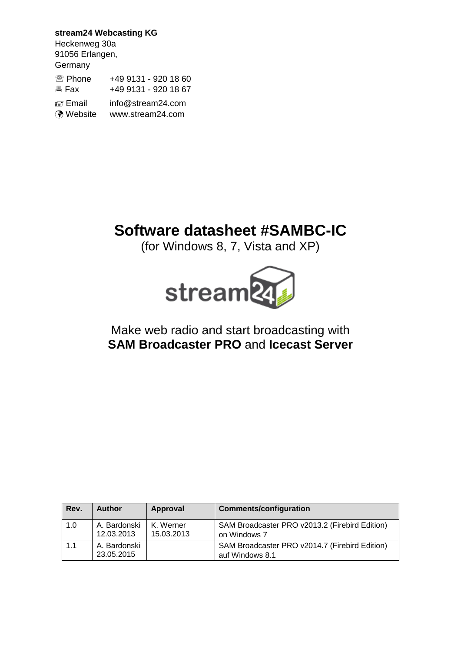**stream24 Webcasting KG** Heckenweg 30a 91056 Erlangen, **Germany** <sup>2</sup> Phone +49 9131 - 920 18 60 **图 Fax +49 9131 - 920 18 67**  Email info@stream24.com Website www.stream24.com

# **Software datasheet #SAMBC-IC**

(for Windows 8, 7, Vista and XP)



# Make web radio and start broadcasting with **SAM Broadcaster PRO** and **Icecast Server**

| Rev. | <b>Author</b>              | Approval                | <b>Comments/configuration</b>                                     |
|------|----------------------------|-------------------------|-------------------------------------------------------------------|
| 1.0  | A. Bardonski<br>12.03.2013 | K. Werner<br>15.03.2013 | SAM Broadcaster PRO v2013.2 (Firebird Edition)<br>on Windows 7    |
| 1.1  | A. Bardonski<br>23.05.2015 |                         | SAM Broadcaster PRO v2014.7 (Firebird Edition)<br>auf Windows 8.1 |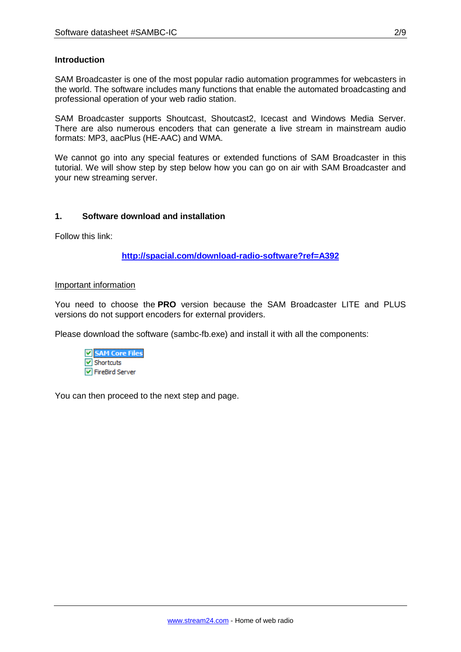#### **Introduction**

SAM Broadcaster is one of the most popular radio automation programmes for webcasters in the world. The software includes many functions that enable the automated broadcasting and professional operation of your web radio station.

SAM Broadcaster supports Shoutcast, Shoutcast2, Icecast and Windows Media Server. There are also numerous encoders that can generate a live stream in mainstream audio formats: MP3, aacPlus (HE-AAC) and WMA.

We cannot go into any special features or extended functions of SAM Broadcaster in this tutorial. We will show step by step below how you can go on air with SAM Broadcaster and your new streaming server.

#### **1. Software download and installation**

Follow this link:

**http://spacial.com/download-radio-software?ref=A392**

#### Important information

You need to choose the **PRO** version because the SAM Broadcaster LITE and PLUS versions do not support encoders for external providers.

Please download the software (sambc-fb.exe) and install it with all the components:



You can then proceed to the next step and page.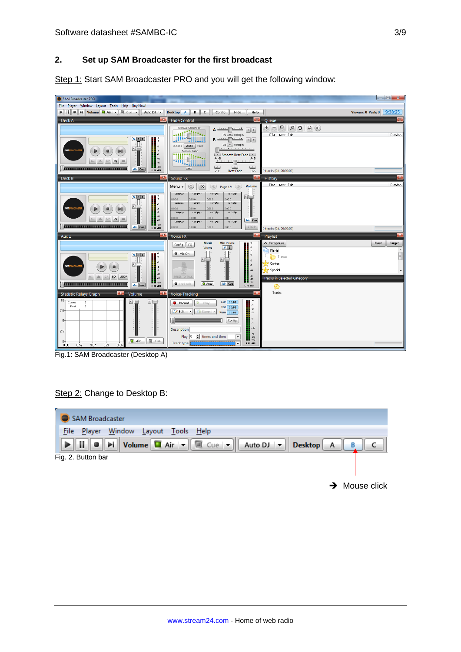#### **2. Set up SAM Broadcaster for the first broadcast**

Step 1: Start SAM Broadcaster PRO and you will get the following window:



Fig.1: SAM Broadcaster (Desktop A)

## Step 2: Change to Desktop B:

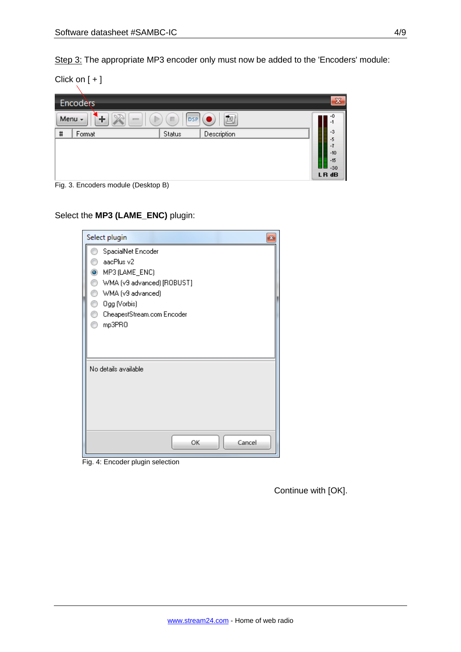Step 3: The appropriate MP3 encoder only must now be added to the 'Encoders' module:

Click on [ + ]

|                                                    | Encoders                                                 |        |             | $\boldsymbol{\mathsf{x}}$                              |  |  |
|----------------------------------------------------|----------------------------------------------------------|--------|-------------|--------------------------------------------------------|--|--|
| 甸<br>Menu -<br>暈<br><b>DSP</b><br>п<br>$rac{1}{2}$ |                                                          |        |             |                                                        |  |  |
| $\sharp$                                           | Format                                                   | Status | Description | <b>HILLIAN</b><br>in 1991<br>Elizabeth<br>$-3$<br>$-5$ |  |  |
|                                                    |                                                          |        |             | -7<br>$-10$                                            |  |  |
|                                                    |                                                          |        |             | 黽<br>$-15$<br>$-30$                                    |  |  |
|                                                    | $\Gamma$ and $\Gamma$ is a subset of second the $\Gamma$ |        |             | LR dB                                                  |  |  |

Fig. 3. Encoders module (Desktop B)

Select the **MP3 (LAME\_ENC)** plugin:

| Select plugin<br>×                                             |  |
|----------------------------------------------------------------|--|
| SpacialNet Encoder<br>aacPlus v2                               |  |
| MP3 (LAME_ENC)<br>$\bullet$<br>WMA (v9 advanced) [ROBUST]<br>⊙ |  |
| 0<br>WMA (v9 advanced)<br>0                                    |  |
| Ogg (Vorbis)<br>CheapestStream.com Encoder<br>n<br>mp3PRO<br>∩ |  |
|                                                                |  |
| No details available                                           |  |
|                                                                |  |
|                                                                |  |
| OK<br>Cancel                                                   |  |

Fig. 4: Encoder plugin selection

Continue with [OK].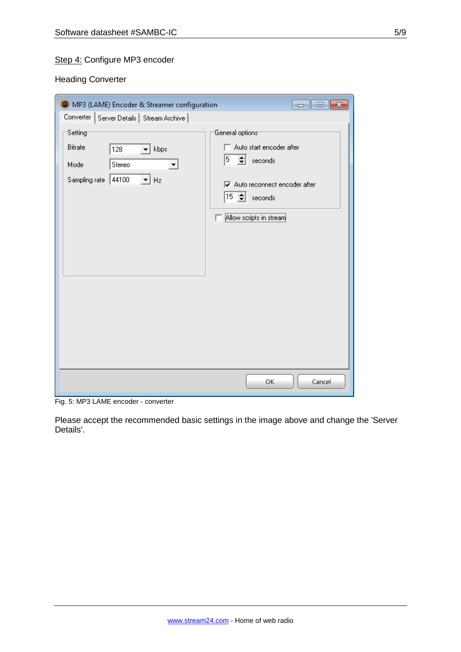# Step 4: Configure MP3 encoder

Heading Converter

| MP3 (LAME) Encoder & Streamer configuration                                                             | $\overline{\mathbf{x}}$<br>▣<br>$\Box$                                                                                                                                                   |
|---------------------------------------------------------------------------------------------------------|------------------------------------------------------------------------------------------------------------------------------------------------------------------------------------------|
| Converter   Server Details   Stream Archive                                                             |                                                                                                                                                                                          |
| Setting<br>Bitrate<br>kbps<br>128<br>▾╎<br>Stereo<br>Mode<br>$\mathbf{r}$ Hz<br>Sampling rate<br> 44100 | General options <sup>-</sup><br>Auto start encoder after<br>$5 \div$ seconds<br>$\overline{\mathbf{v}}$ Auto reconnect encoder after<br>$ 15 \div \}$ seconds<br>Allow scripts in stream |
|                                                                                                         | Cancel<br>ОК                                                                                                                                                                             |

Fig. 5: MP3 LAME encoder - converter

Please accept the recommended basic settings in the image above and change the 'Server Details'.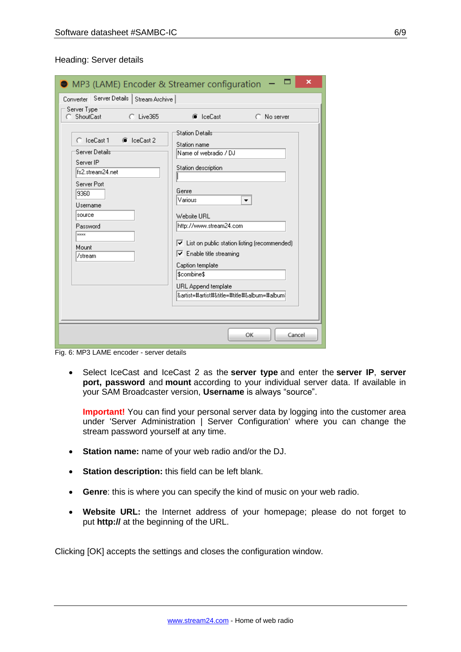| <b>MP3 (LAME) Encoder &amp; Streamer configuration</b>                                                                                                                              | ×                                                                                                                                                                                                                                                                                                                                                  |
|-------------------------------------------------------------------------------------------------------------------------------------------------------------------------------------|----------------------------------------------------------------------------------------------------------------------------------------------------------------------------------------------------------------------------------------------------------------------------------------------------------------------------------------------------|
| Converter Server Details   Stream Archive                                                                                                                                           |                                                                                                                                                                                                                                                                                                                                                    |
| Server Type<br>C ShoutCast<br>$C$ Live365                                                                                                                                           | C IceCast<br>C No server<br><b>Station Details</b>                                                                                                                                                                                                                                                                                                 |
| C. IceCast 1<br><b>6</b> IceCast 2<br>'Server Details'<br>Server IP<br>fs2.stream24.net<br>Server Port<br>9360<br>Username<br>source<br>Password<br><b>xxxx</b><br>Mount<br>/stream | Station name<br>Name of webradio / DJ<br>Station description<br>Genre<br>Various<br>▼<br>Website HBL<br>http://www.stream24.com<br>$\triangledown$ List on public station listing (recommended)<br>$\triangledown$ Enable title streaming<br>Caption template<br>Scombine\$<br>URL Append template<br> &artist=#artist#&title=#title#&album=#album |
|                                                                                                                                                                                     | Cancel<br>ОК                                                                                                                                                                                                                                                                                                                                       |

Fig. 6: MP3 LAME encoder - server details

 Select IceCast and IceCast 2 as the **server type** and enter the **server IP**, **server port, password** and **mount** according to your individual server data. If available in your SAM Broadcaster version, **Username** is always "source".

**Important!** You can find your personal server data by logging into the customer area under 'Server Administration | Server Configuration' where you can change the stream password yourself at any time.

- **Station name:** name of your web radio and/or the DJ.
- **Station description:** this field can be left blank.
- **Genre**: this is where you can specify the kind of music on your web radio.
- **Website URL:** the Internet address of your homepage; please do not forget to put **http://** at the beginning of the URL.

Clicking [OK] accepts the settings and closes the configuration window.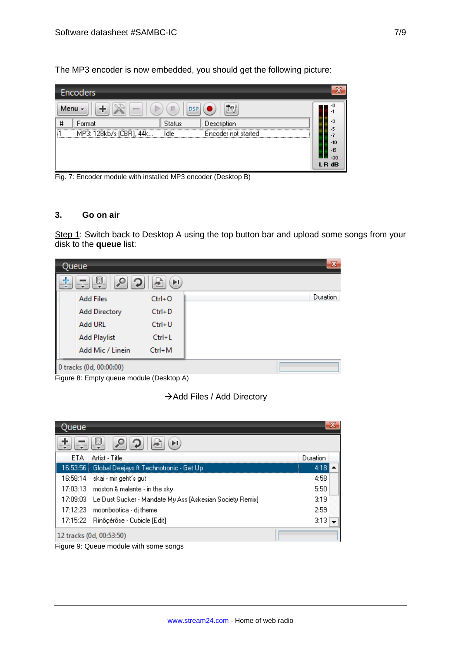The MP3 encoder is now embedded, you should get the following picture:

|                                | Encoders                |               |                     |                |  |
|--------------------------------|-------------------------|---------------|---------------------|----------------|--|
| Menu -<br><b>DSP</b><br>п<br>任 |                         |               |                     |                |  |
| #                              | Format                  | <b>Status</b> | Description         | ▕▏<br>-3       |  |
| <br>I٦<br>,,,,,,,,,,,,,,       | MP3: 128kb/s (CBR), 44k | İdle          | Encoder not started |                |  |
|                                |                         |               |                     | $-10$          |  |
|                                |                         |               |                     | $-15$<br>$-30$ |  |
|                                |                         |               |                     | LR dB          |  |

Fig. 7: Encoder module with installed MP3 encoder (Desktop B)

#### **3. Go on air**

Step 1: Switch back to Desktop A using the top button bar and upload some songs from your disk to the **queue** list:



Figure 8: Empty queue module (Desktop A)

→ Add Files / Add Directory

| Queue    |                                                                    | $\sum_{i=1}^{n}$ |  |
|----------|--------------------------------------------------------------------|------------------|--|
|          | 圓<br>ÞI                                                            |                  |  |
| ETA      | Artist - Title                                                     | Duration         |  |
|          |                                                                    | 4:18             |  |
| 16:58:14 | – skai - mir geht´s gut                                            | 4:58             |  |
|          | 17:03:13 moston & malente - in the sky                             | 5:50             |  |
|          | 17:09:03 Le Dust Sucker - Mandate My Ass [Askesian Society Remix]. | 3:19             |  |
|          | 17:12:23 moonbootica - dj theme                                    | 2:59             |  |
|          | 17:15:22 Rinôçérôse - Cubicle [Edit]                               | 3:13             |  |
|          | 12 tracks (0d, 00:53:50)                                           |                  |  |

Figure 9: Queue module with some songs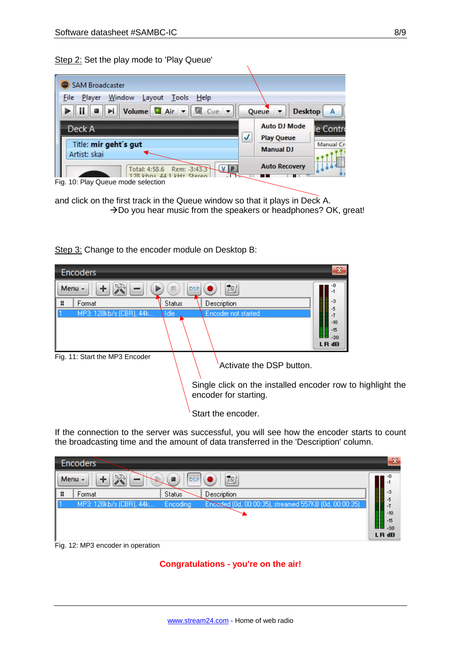Step 2: Set the play mode to 'Play Queue'

| Window<br>File<br>Layout<br>Player<br>Tools<br>Help                                  |  |                                          |  |           |
|--------------------------------------------------------------------------------------|--|------------------------------------------|--|-----------|
| Volume $\Box$ Air $\parallel \cdot \parallel$ $\Box$ Cue $\parallel \cdot \parallel$ |  | Queue <del>v</del>                       |  | Desktop A |
| Deck A                                                                               |  | <b>Auto DJ Mode</b><br><b>Play Queue</b> |  | le Contro |
| Title: mir geht's gut<br>Artist: skai                                                |  | <b>Manual DJ</b>                         |  | Manual Cn |
| VP<br>Rem: -3:43.3<br>Total: 4:58.6                                                  |  | <b>Auto Recovery</b>                     |  |           |

Fig. 10: Play Queue mode selection

and click on the first track in the Queue window so that it plays in Deck A.  $\rightarrow$  Do you hear music from the speakers or headphones? OK, great!

Step 3: Change to the encoder module on Desktop B:



If the connection to the server was successful, you will see how the encoder starts to count the broadcasting time and the amount of data transferred in the 'Description' column.

|                   | Encoders                          |                     |                                                       | $\mathbf{x}$     |
|-------------------|-----------------------------------|---------------------|-------------------------------------------------------|------------------|
|                   | Menu $\sim$<br>一                  | I DSP               | Ťą.                                                   |                  |
| $\mathbf{H}$<br>Ħ | Format                            | Status <sup>1</sup> | Description                                           | <br> <br> <br>-3 |
|                   | MP3: 128kb/s (CBR), 44k ,         | <b>Encoding</b>     | Encoded (0d, 00:00:35), streamed 557KB (0d, 00:00:35) |                  |
|                   |                                   |                     |                                                       | $-10$            |
|                   |                                   |                     |                                                       |                  |
|                   |                                   |                     |                                                       | LR dB            |
|                   | Eig 12: MD2 appealer in operation |                     |                                                       |                  |

Fig. 12: MP3 encoder in operation

**Congratulations - you're on the air!**